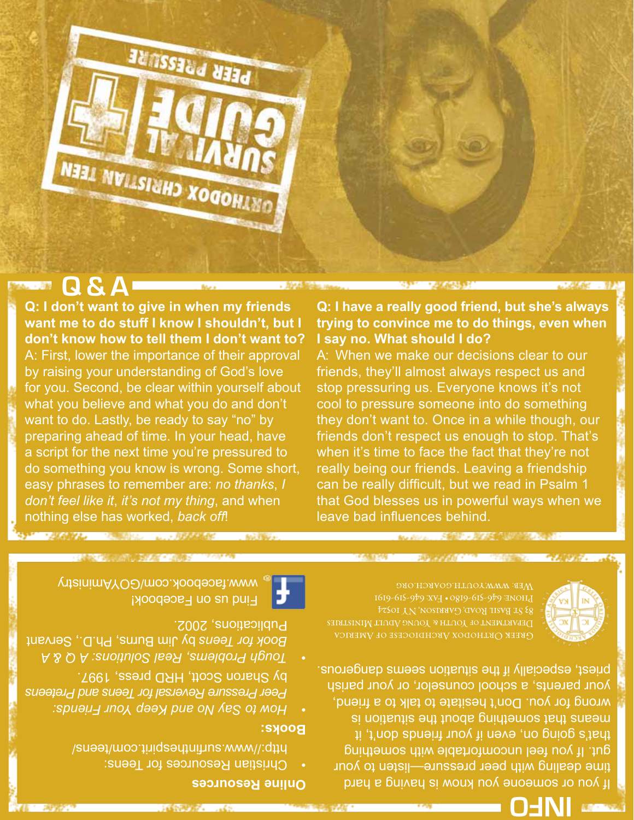

## **Q & A**

**Q: I don't want to give in when my friends want me to do stuff I know I shouldn't, but I don't know how to tell them I don't want to?**  A: First, lower the importance of their approval by raising your understanding of God's love for you. Second, be clear within yourself about what you believe and what you do and don't want to do. Lastly, be ready to say "no" by preparing ahead of time. In your head, have a script for the next time you're pressured to do something you know is wrong. Some short, easy phrases to remember are: *no thanks*, *I don't feel like it*, *it's not my thing*, and when nothing else has worked, *back off*!

#### **Q: I have a really good friend, but she's always trying to convince me to do things, even when I say no. What should I do?**

A: When we make our decisions clear to our friends, they'll almost always respect us and stop pressuring us. Everyone knows it's not cool to pressure someone into do something they don't want to. Once in a while though, our friends don't respect us enough to stop. That's when it's time to face the fact that they're not really being our friends. Leaving a friendship can be really difficult, but we read in Psalm 1 that God blesses us in powerful ways when we leave bad influences behind.



DEPARTMENT OF YOUTH & YOUNG ADULT MINISTRIES

If you or someone you know is having a hard time dealing with peer pressure—listen to your gut. If you feel uncomfortable with something that's going on, even if your friends don't, it means that something about the situation is wrong for you. Don't hesitate to talk to a friend, your parents, a school counselor, or your parish priest, especially if the situation seems dangerous.



**Books:**

Find us on Facebook! www.facebook.com/GOYAministry

ACCORA COMMON ALL ARACCO

by Sharon Scott, HRD press, 1997.

Publications, 2002.

http://www.surfinthespirit.com/teens/

*How to Say No and Keep Your Friends: • Peer Pressure Reversal for Teens and Preteens*

*Tough Problems, Real Solutions: A Q & A •* by Jim Burns, Ph.D., Servant *Book for Teens*

**INFO**

**Online Resources**

Christian Resources for Teens: